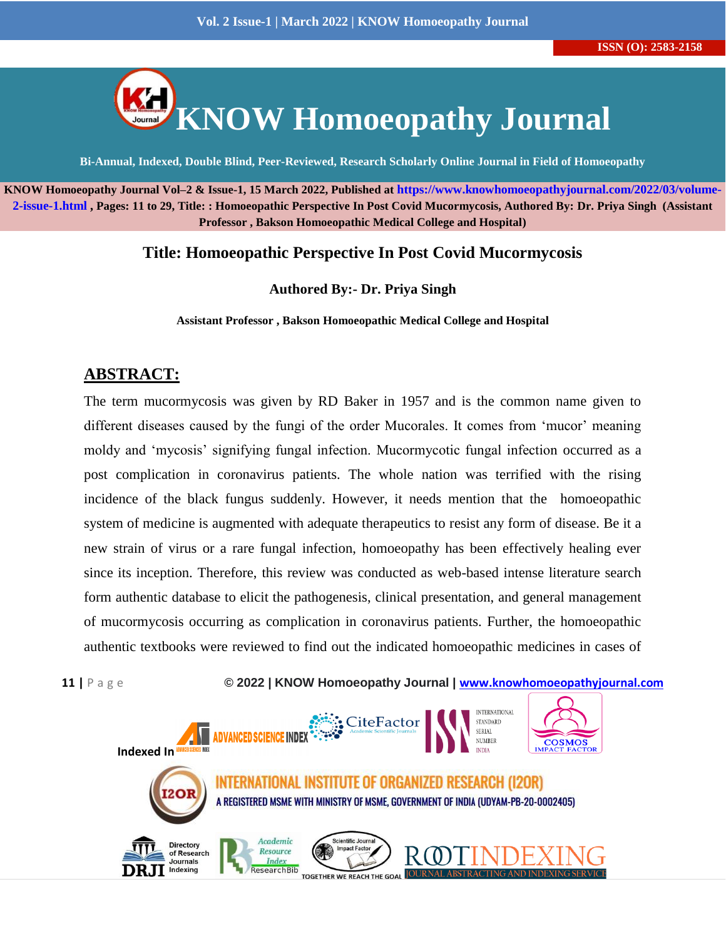

**KNOW Homoeopathy Journal Vol–2 & Issue-1, 15 March 2022, Published at [https://www.knowhomoeopathyjournal.com/2022/03/volume-](https://www.knowhomoeopathyjournal.com/2022/03/volume-2-issue-1.html)[2-issue-1.html](https://www.knowhomoeopathyjournal.com/2022/03/volume-2-issue-1.html) , Pages: 11 to 29, Title: : Homoeopathic Perspective In Post Covid Mucormycosis, Authored By: Dr. Priya Singh (Assistant Professor , Bakson Homoeopathic Medical College and Hospital)**

#### **Title: Homoeopathic Perspective In Post Covid Mucormycosis**

**Authored By:- Dr. Priya Singh**

**Assistant Professor , Bakson Homoeopathic Medical College and Hospital**

## **ABSTRACT:**

The term mucormycosis was given by RD Baker in 1957 and is the common name given to different diseases caused by the fungi of the order Mucorales. It comes from 'mucor' meaning moldy and 'mycosis' signifying fungal infection. Mucormycotic fungal infection occurred as a post complication in coronavirus patients. The whole nation was terrified with the rising incidence of the black fungus suddenly. However, it needs mention that the homoeopathic system of medicine is augmented with adequate therapeutics to resist any form of disease. Be it a new strain of virus or a rare fungal infection, homoeopathy has been effectively healing ever since its inception. Therefore, this review was conducted as web-based intense literature search form authentic database to elicit the pathogenesis, clinical presentation, and general management of mucormycosis occurring as complication in coronavirus patients. Further, the homoeopathic authentic textbooks were reviewed to find out the indicated homoeopathic medicines in cases of

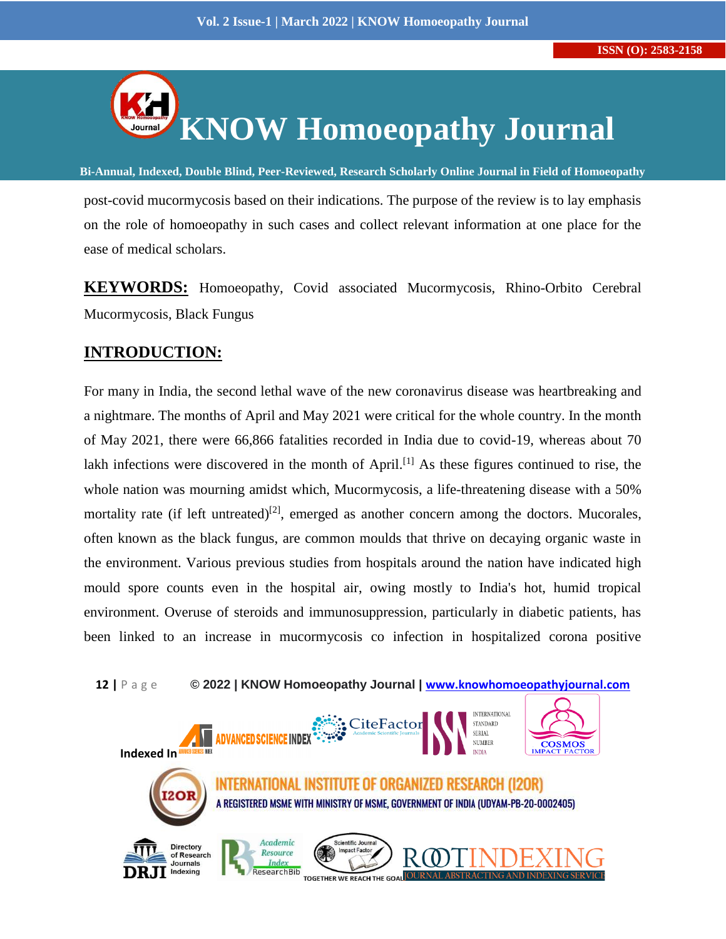

post-covid mucormycosis based on their indications. The purpose of the review is to lay emphasis on the role of homoeopathy in such cases and collect relevant information at one place for the ease of medical scholars.

**Bi-Annual, Indexed, Double Blind, Peer-Reviewed, Research Scholarly Online Journal in Field of Homoeopathy**

**KEYWORDS:** Homoeopathy, Covid associated Mucormycosis, Rhino-Orbito Cerebral Mucormycosis, Black Fungus

## **INTRODUCTION:**

For many in India, the second lethal wave of the new coronavirus disease was heartbreaking and a nightmare. The months of April and May 2021 were critical for the whole country. In the month of May 2021, there were 66,866 fatalities recorded in India due to covid-19, whereas about 70 lakh infections were discovered in the month of April.<sup>[1]</sup> As these figures continued to rise, the whole nation was mourning amidst which, Mucormycosis, a life-threatening disease with a 50% mortality rate (if left untreated)<sup>[2]</sup>, emerged as another concern among the doctors. Mucorales, often known as the black fungus, are common moulds that thrive on decaying organic waste in the environment. Various previous studies from hospitals around the nation have indicated high mould spore counts even in the hospital air, owing mostly to India's hot, humid tropical environment. Overuse of steroids and immunosuppression, particularly in diabetic patients, has been linked to an increase in mucormycosis co infection in hospitalized corona positive



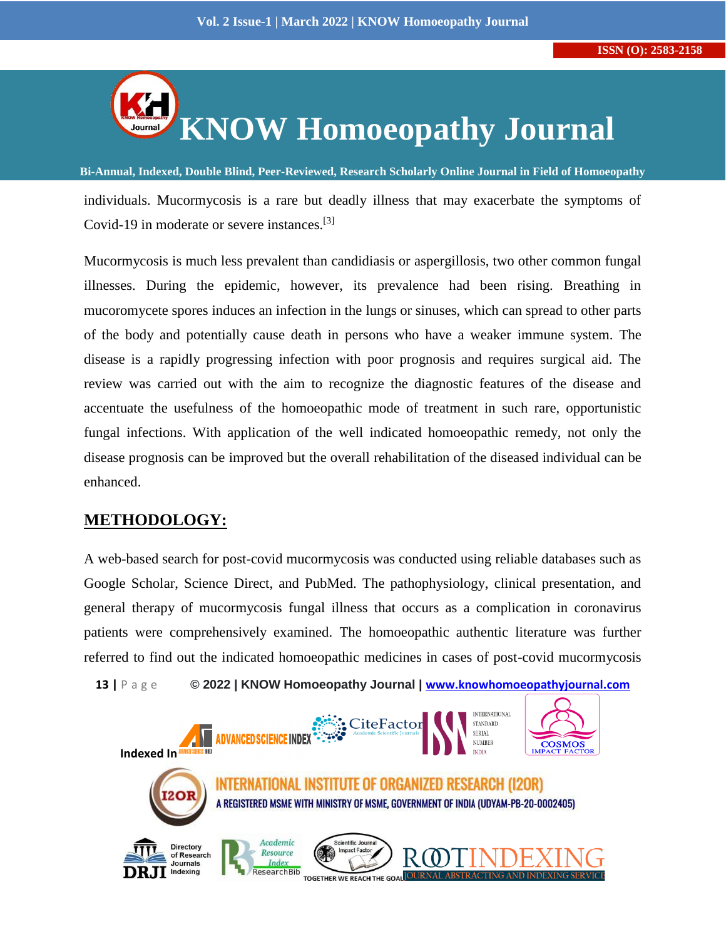

**Bi-Annual, Indexed, Double Blind, Peer-Reviewed, Research Scholarly Online Journal in Field of Homoeopathy** individuals. Mucormycosis is a rare but deadly illness that may exacerbate the symptoms of Covid-19 in moderate or severe instances.[3]

Mucormycosis is much less prevalent than candidiasis or aspergillosis, two other common fungal illnesses. During the epidemic, however, its prevalence had been rising. Breathing in mucoromycete spores induces an infection in the lungs or sinuses, which can spread to other parts of the body and potentially cause death in persons who have a weaker immune system. The disease is a rapidly progressing infection with poor prognosis and requires surgical aid. The review was carried out with the aim to recognize the diagnostic features of the disease and accentuate the usefulness of the homoeopathic mode of treatment in such rare, opportunistic fungal infections. With application of the well indicated homoeopathic remedy, not only the disease prognosis can be improved but the overall rehabilitation of the diseased individual can be enhanced.

## **METHODOLOGY:**

A web-based search for post-covid mucormycosis was conducted using reliable databases such as Google Scholar, Science Direct, and PubMed. The pathophysiology, clinical presentation, and general therapy of mucormycosis fungal illness that occurs as a complication in coronavirus patients were comprehensively examined. The homoeopathic authentic literature was further referred to find out the indicated homoeopathic medicines in cases of post-covid mucormycosis

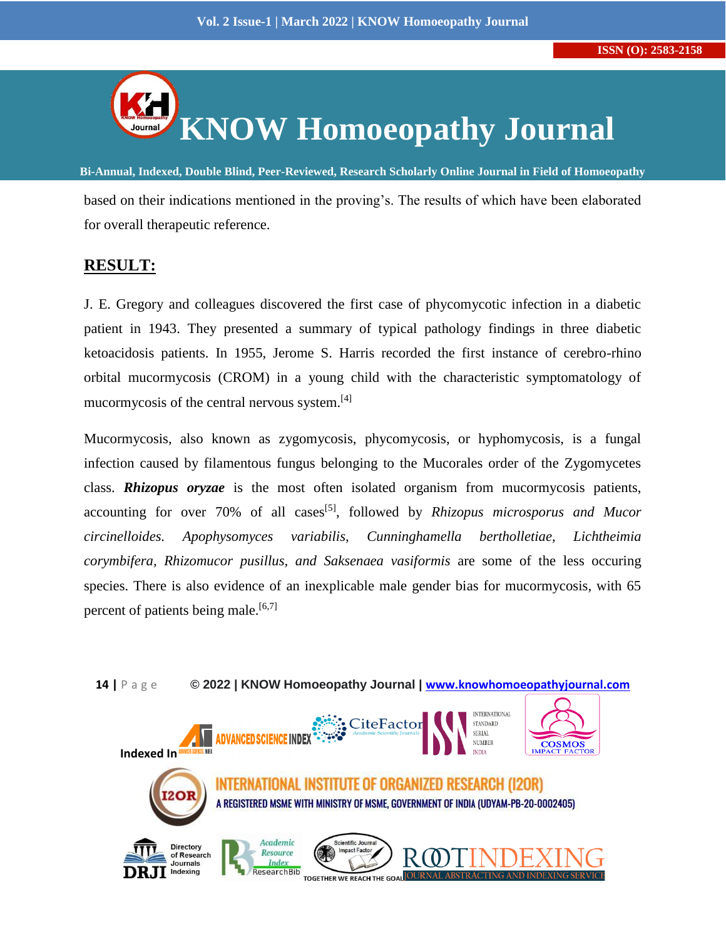

**Bi-Annual, Indexed, Double Blind, Peer-Reviewed, Research Scholarly Online Journal in Field of Homoeopathy** based on their indications mentioned in the proving's. The results of which have been elaborated for overall therapeutic reference.

## **RESULT:**

J. E. Gregory and colleagues discovered the first case of phycomycotic infection in a diabetic patient in 1943. They presented a summary of typical pathology findings in three diabetic ketoacidosis patients. In 1955, Jerome S. Harris recorded the first instance of cerebro-rhino orbital mucormycosis (CROM) in a young child with the characteristic symptomatology of mucormycosis of the central nervous system.<sup>[4]</sup>

Mucormycosis, also known as zygomycosis, phycomycosis, or hyphomycosis, is a fungal infection caused by filamentous fungus belonging to the Mucorales order of the Zygomycetes class. *Rhizopus oryzae* is the most often isolated organism from mucormycosis patients, accounting for over 70% of all cases<sup>[5]</sup>, followed by *Rhizopus microsporus and Mucor circinelloides. Apophysomyces variabilis, Cunninghamella bertholletiae, Lichtheimia corymbifera, Rhizomucor pusillus, and Saksenaea vasiformis* are some of the less occuring species. There is also evidence of an inexplicable male gender bias for mucormycosis, with 65 percent of patients being male.<sup>[6,7]</sup>

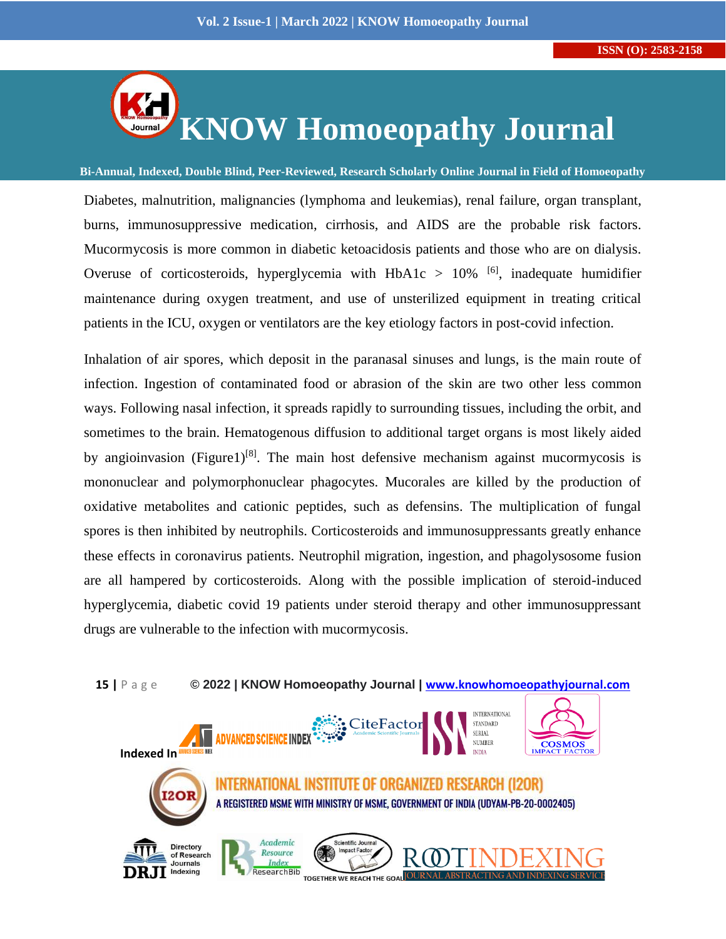

**Bi-Annual, Indexed, Double Blind, Peer-Reviewed, Research Scholarly Online Journal in Field of Homoeopathy**

Diabetes, malnutrition, malignancies (lymphoma and leukemias), renal failure, organ transplant, burns, immunosuppressive medication, cirrhosis, and AIDS are the probable risk factors. Mucormycosis is more common in diabetic ketoacidosis patients and those who are on dialysis. Overuse of corticosteroids, hyperglycemia with  $HbA1c > 10%$  [6], inadequate humidifier maintenance during oxygen treatment, and use of unsterilized equipment in treating critical patients in the ICU, oxygen or ventilators are the key etiology factors in post-covid infection.

Inhalation of air spores, which deposit in the paranasal sinuses and lungs, is the main route of infection. Ingestion of contaminated food or abrasion of the skin are two other less common ways. Following nasal infection, it spreads rapidly to surrounding tissues, including the orbit, and sometimes to the brain. Hematogenous diffusion to additional target organs is most likely aided by angioinvasion (Figure1)<sup>[8]</sup>. The main host defensive mechanism against mucormycosis is mononuclear and polymorphonuclear phagocytes. Mucorales are killed by the production of oxidative metabolites and cationic peptides, such as defensins. The multiplication of fungal spores is then inhibited by neutrophils. Corticosteroids and immunosuppressants greatly enhance these effects in coronavirus patients. Neutrophil migration, ingestion, and phagolysosome fusion are all hampered by corticosteroids. Along with the possible implication of steroid-induced hyperglycemia, diabetic covid 19 patients under steroid therapy and other immunosuppressant drugs are vulnerable to the infection with mucormycosis.



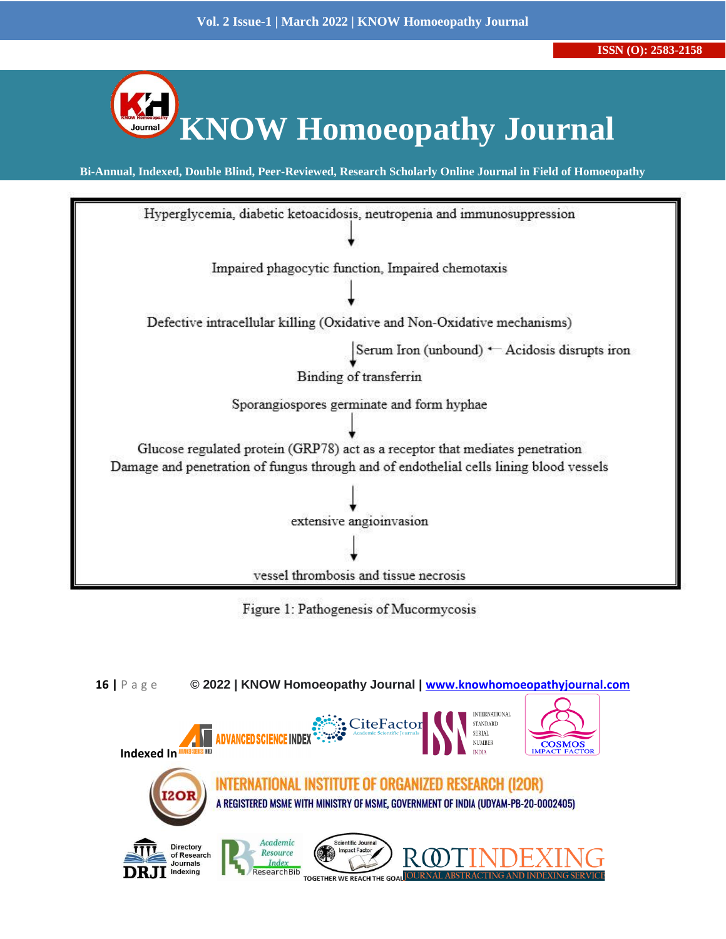



Figure 1: Pathogenesis of Mucormycosis

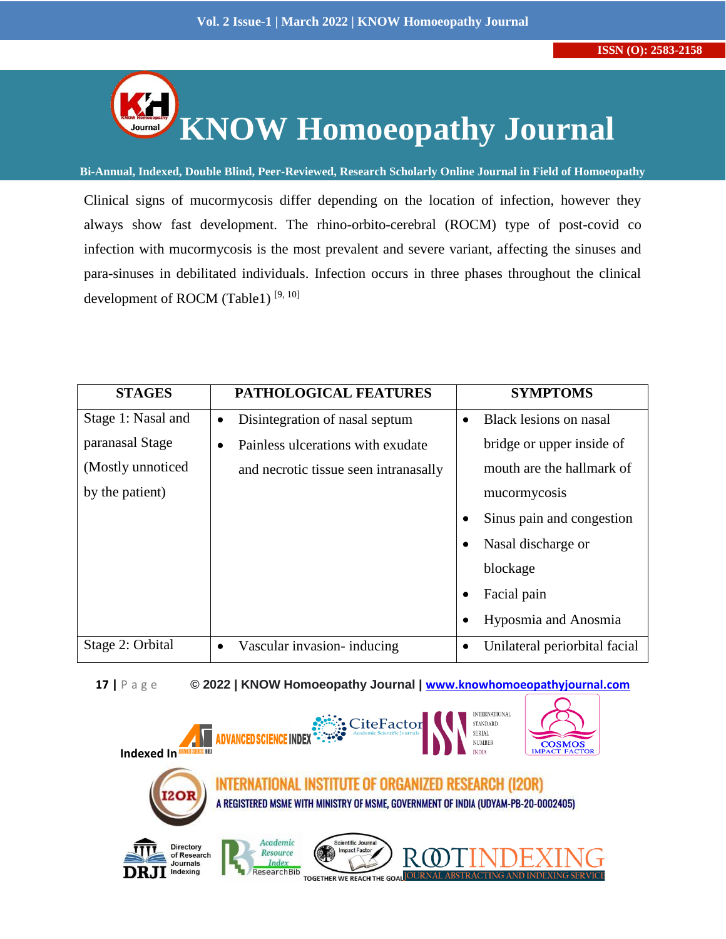

**Bi-Annual, Indexed, Double Blind, Peer-Reviewed, Research Scholarly Online Journal in Field of Homoeopathy**

Clinical signs of mucormycosis differ depending on the location of infection, however they always show fast development. The rhino-orbito-cerebral (ROCM) type of post-covid co infection with mucormycosis is the most prevalent and severe variant, affecting the sinuses and para-sinuses in debilitated individuals. Infection occurs in three phases throughout the clinical development of ROCM (Table1)  $[9, 10]$ 

| <b>STAGES</b>      | PATHOLOGICAL FEATURES                       | <b>SYMPTOMS</b>               |
|--------------------|---------------------------------------------|-------------------------------|
| Stage 1: Nasal and | Disintegration of nasal septum<br>$\bullet$ | Black lesions on nasal        |
| paranasal Stage    | Painless ulcerations with exudate           | bridge or upper inside of     |
| (Mostly unnoticed) | and necrotic tissue seen intranasally       | mouth are the hallmark of     |
| by the patient)    |                                             | mucormycosis                  |
|                    |                                             | Sinus pain and congestion     |
|                    |                                             | Nasal discharge or            |
|                    |                                             | blockage                      |
|                    |                                             | Facial pain                   |
|                    |                                             | Hyposmia and Anosmia          |
| Stage 2: Orbital   | Vascular invasion- inducing<br>$\bullet$    | Unilateral periorbital facial |

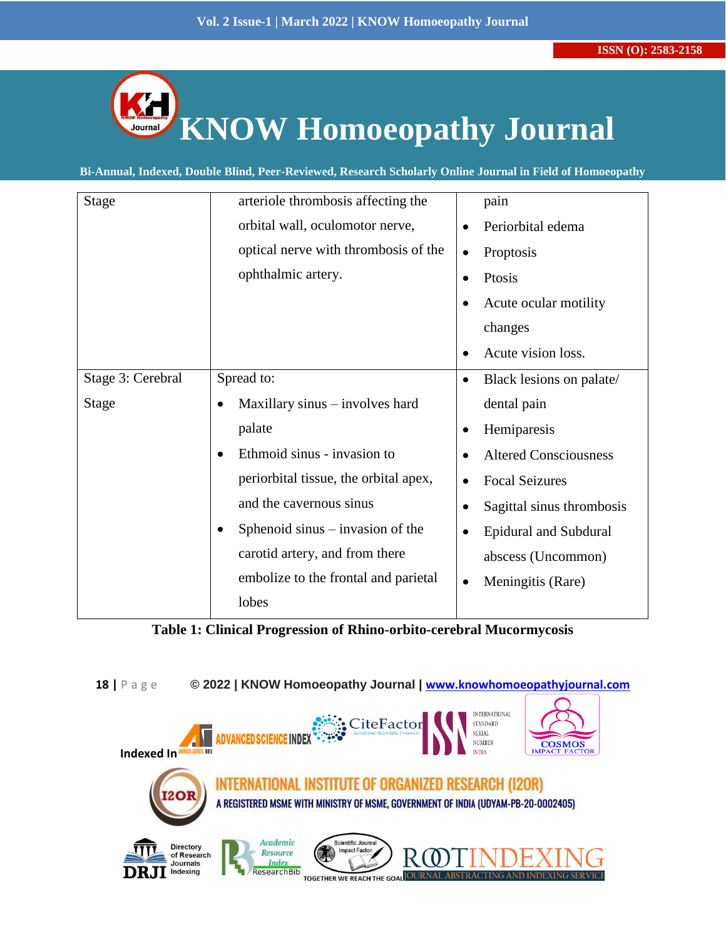

**Bi-Annual, Indexed, Double Blind, Peer-Reviewed, Research Scholarly Online Journal in Field of Homoeopathy**

| <b>Stage</b>      | arteriole thrombosis affecting the              | pain                                      |
|-------------------|-------------------------------------------------|-------------------------------------------|
|                   | orbital wall, oculomotor nerve,                 | Periorbital edema<br>$\bullet$            |
|                   | optical nerve with thrombosis of the            | Proptosis<br>$\bullet$                    |
|                   | ophthalmic artery.                              | Ptosis<br>$\bullet$                       |
|                   |                                                 | Acute ocular motility<br>$\bullet$        |
|                   |                                                 | changes                                   |
|                   |                                                 | Acute vision loss.<br>$\bullet$           |
| Stage 3: Cerebral | Spread to:                                      | Black lesions on palate/<br>$\bullet$     |
| Stage             | Maxillary sinus – involves hard                 | dental pain                               |
|                   | palate                                          | Hemiparesis<br>$\bullet$                  |
|                   | Ethmoid sinus - invasion to                     | <b>Altered Consciousness</b><br>$\bullet$ |
|                   | periorbital tissue, the orbital apex,           | <b>Focal Seizures</b><br>$\bullet$        |
|                   | and the cavernous sinus                         | Sagittal sinus thrombosis<br>$\bullet$    |
|                   | Sphenoid sinus $-$ invasion of the<br>$\bullet$ | <b>Epidural and Subdural</b><br>$\bullet$ |
|                   | carotid artery, and from there                  | abscess (Uncommon)                        |
|                   | embolize to the frontal and parietal            | Meningitis (Rare)<br>$\bullet$            |
|                   | lobes                                           |                                           |

**Table 1: Clinical Progression of Rhino-orbito-cerebral Mucormycosis**

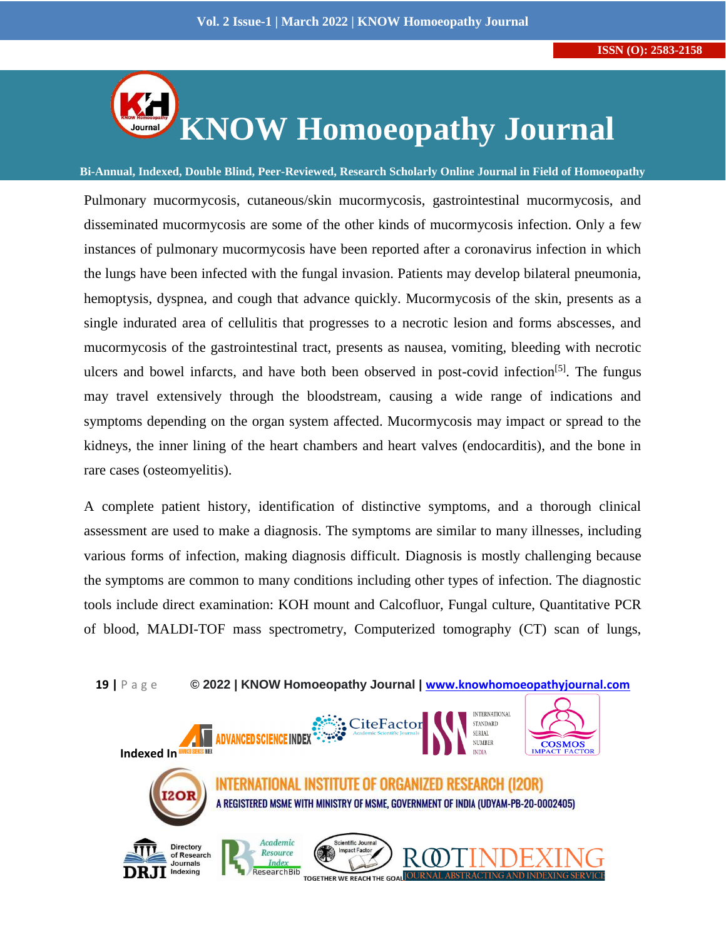

**Bi-Annual, Indexed, Double Blind, Peer-Reviewed, Research Scholarly Online Journal in Field of Homoeopathy**

Pulmonary mucormycosis, cutaneous/skin mucormycosis, gastrointestinal mucormycosis, and disseminated mucormycosis are some of the other kinds of mucormycosis infection. Only a few instances of pulmonary mucormycosis have been reported after a coronavirus infection in which the lungs have been infected with the fungal invasion. Patients may develop bilateral pneumonia, hemoptysis, dyspnea, and cough that advance quickly. Mucormycosis of the skin, presents as a single indurated area of cellulitis that progresses to a necrotic lesion and forms abscesses, and mucormycosis of the gastrointestinal tract, presents as nausea, vomiting, bleeding with necrotic ulcers and bowel infarcts, and have both been observed in post-covid infection<sup>[5]</sup>. The fungus may travel extensively through the bloodstream, causing a wide range of indications and symptoms depending on the organ system affected. Mucormycosis may impact or spread to the kidneys, the inner lining of the heart chambers and heart valves (endocarditis), and the bone in rare cases (osteomyelitis).

A complete patient history, identification of distinctive symptoms, and a thorough clinical assessment are used to make a diagnosis. The symptoms are similar to many illnesses, including various forms of infection, making diagnosis difficult. Diagnosis is mostly challenging because the symptoms are common to many conditions including other types of infection. The diagnostic tools include direct examination: KOH mount and Calcofluor, Fungal culture, Quantitative PCR of blood, MALDI-TOF mass spectrometry, Computerized tomography (CT) scan of lungs,



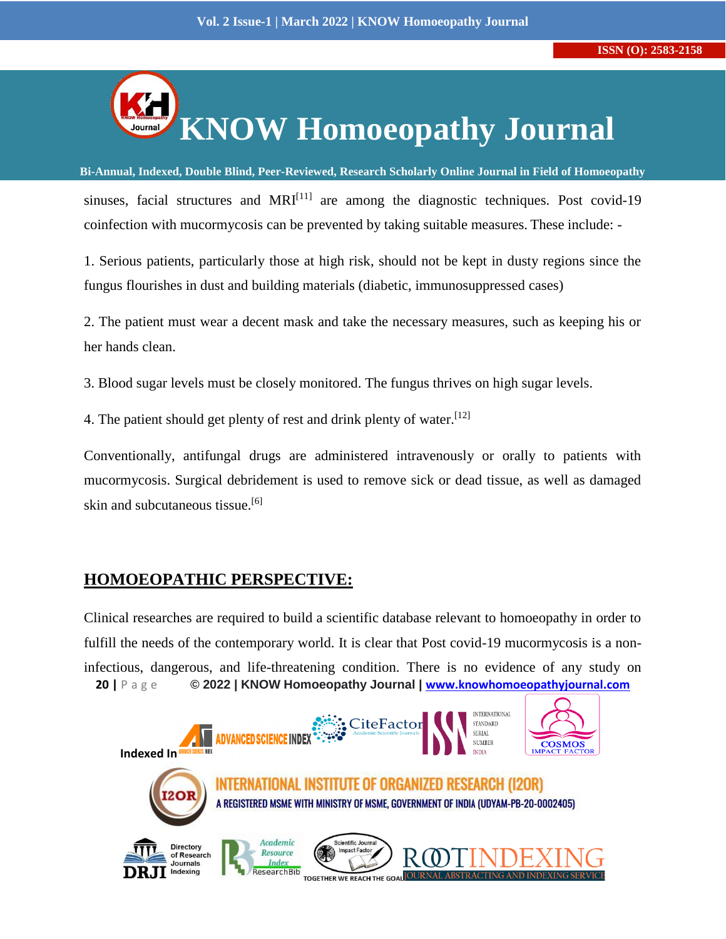

**Bi-Annual, Indexed, Double Blind, Peer-Reviewed, Research Scholarly Online Journal in Field of Homoeopathy** sinuses, facial structures and  $MRI^{[11]}$  are among the diagnostic techniques. Post covid-19 coinfection with mucormycosis can be prevented by taking suitable measures. These include: -

1. Serious patients, particularly those at high risk, should not be kept in dusty regions since the fungus flourishes in dust and building materials (diabetic, immunosuppressed cases)

2. The patient must wear a decent mask and take the necessary measures, such as keeping his or her hands clean.

3. Blood sugar levels must be closely monitored. The fungus thrives on high sugar levels.

4. The patient should get plenty of rest and drink plenty of water.  $[12]$ 

Conventionally, antifungal drugs are administered intravenously or orally to patients with mucormycosis. Surgical debridement is used to remove sick or dead tissue, as well as damaged skin and subcutaneous tissue.<sup>[6]</sup>

## **HOMOEOPATHIC PERSPECTIVE:**

**20 |** P a g e **© 2022 | KNOW Homoeopathy Journal | [www.knowhomoeopathyjournal.com](http://www.knowhomoeopathyjournal.com/)** Clinical researches are required to build a scientific database relevant to homoeopathy in order to fulfill the needs of the contemporary world. It is clear that Post covid-19 mucormycosis is a noninfectious, dangerous, and life-threatening condition. There is no evidence of any study on

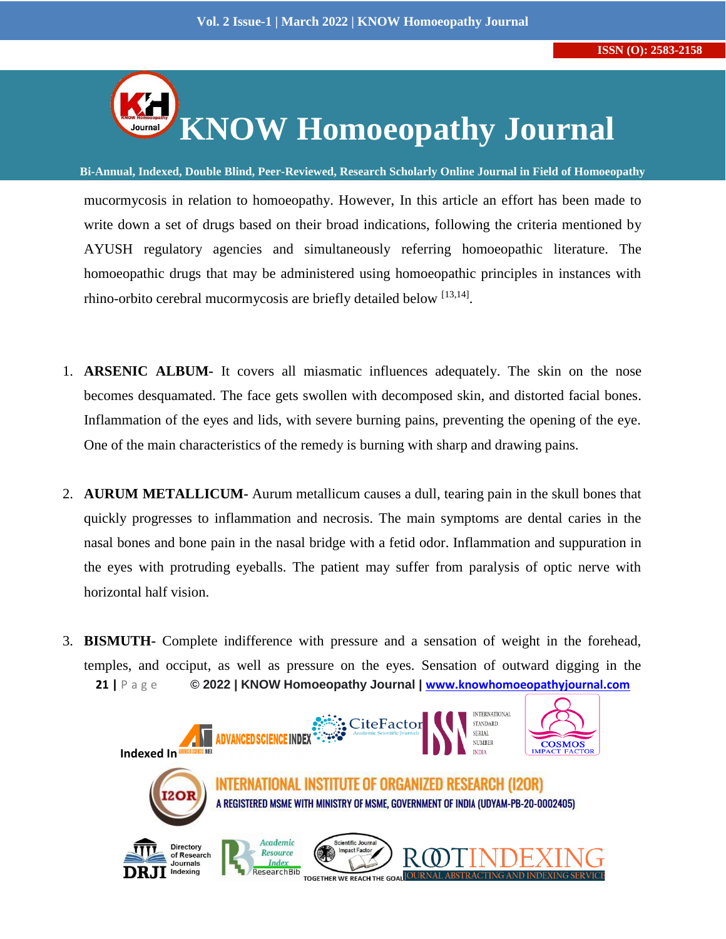

**Bi-Annual, Indexed, Double Blind, Peer-Reviewed, Research Scholarly Online Journal in Field of Homoeopathy** mucormycosis in relation to homoeopathy. However, In this article an effort has been made to write down a set of drugs based on their broad indications, following the criteria mentioned by AYUSH regulatory agencies and simultaneously referring homoeopathic literature. The homoeopathic drugs that may be administered using homoeopathic principles in instances with rhino-orbito cerebral mucormycosis are briefly detailed below [13,14].

- 1. **ARSENIC ALBUM-** It covers all miasmatic influences adequately. The skin on the nose becomes desquamated. The face gets swollen with decomposed skin, and distorted facial bones. Inflammation of the eyes and lids, with severe burning pains, preventing the opening of the eye. One of the main characteristics of the remedy is burning with sharp and drawing pains.
- 2. **AURUM METALLICUM-** Aurum metallicum causes a dull, tearing pain in the skull bones that quickly progresses to inflammation and necrosis. The main symptoms are dental caries in the nasal bones and bone pain in the nasal bridge with a fetid odor. Inflammation and suppuration in the eyes with protruding eyeballs. The patient may suffer from paralysis of optic nerve with horizontal half vision.
- **21 |** P a g e **© 2022 | KNOW Homoeopathy Journal | [www.knowhomoeopathyjournal.com](http://www.knowhomoeopathyjournal.com/)** 3. **BISMUTH-** Complete indifference with pressure and a sensation of weight in the forehead, temples, and occiput, as well as pressure on the eyes. Sensation of outward digging in the

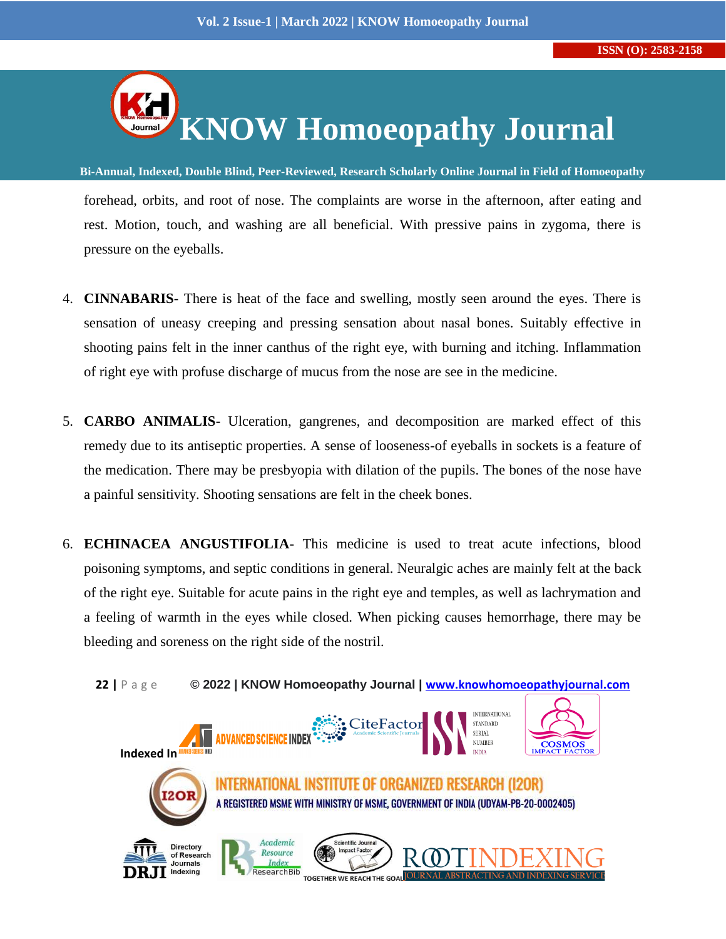

**Bi-Annual, Indexed, Double Blind, Peer-Reviewed, Research Scholarly Online Journal in Field of Homoeopathy** forehead, orbits, and root of nose. The complaints are worse in the afternoon, after eating and rest. Motion, touch, and washing are all beneficial. With pressive pains in zygoma, there is pressure on the eyeballs.

- 4. **CINNABARIS** There is heat of the face and swelling, mostly seen around the eyes. There is sensation of uneasy creeping and pressing sensation about nasal bones. Suitably effective in shooting pains felt in the inner canthus of the right eye, with burning and itching. Inflammation of right eye with profuse discharge of mucus from the nose are see in the medicine.
- 5. **CARBO ANIMALIS-** Ulceration, gangrenes, and decomposition are marked effect of this remedy due to its antiseptic properties. A sense of looseness-of eyeballs in sockets is a feature of the medication. There may be presbyopia with dilation of the pupils. The bones of the nose have a painful sensitivity. Shooting sensations are felt in the cheek bones.
- 6. **ECHINACEA ANGUSTIFOLIA-** This medicine is used to treat acute infections, blood poisoning symptoms, and septic conditions in general. Neuralgic aches are mainly felt at the back of the right eye. Suitable for acute pains in the right eye and temples, as well as lachrymation and a feeling of warmth in the eyes while closed. When picking causes hemorrhage, there may be bleeding and soreness on the right side of the nostril.

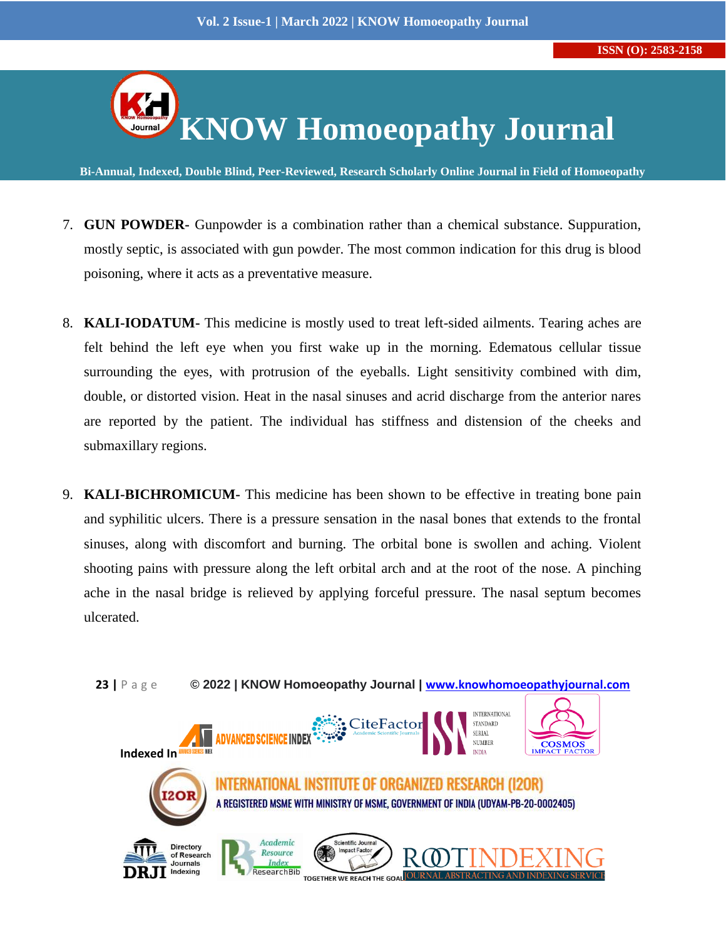

**Bi-Annual, Indexed, Double Blind, Peer-Reviewed, Research Scholarly Online Journal in Field of Homoeopathy**

- 7. **GUN POWDER-** Gunpowder is a combination rather than a chemical substance. Suppuration, mostly septic, is associated with gun powder. The most common indication for this drug is blood poisoning, where it acts as a preventative measure.
- 8. **KALI-IODATUM-** This medicine is mostly used to treat left-sided ailments. Tearing aches are felt behind the left eye when you first wake up in the morning. Edematous cellular tissue surrounding the eyes, with protrusion of the eyeballs. Light sensitivity combined with dim, double, or distorted vision. Heat in the nasal sinuses and acrid discharge from the anterior nares are reported by the patient. The individual has stiffness and distension of the cheeks and submaxillary regions.
- 9. **KALI-BICHROMICUM-** This medicine has been shown to be effective in treating bone pain and syphilitic ulcers. There is a pressure sensation in the nasal bones that extends to the frontal sinuses, along with discomfort and burning. The orbital bone is swollen and aching. Violent shooting pains with pressure along the left orbital arch and at the root of the nose. A pinching ache in the nasal bridge is relieved by applying forceful pressure. The nasal septum becomes ulcerated.

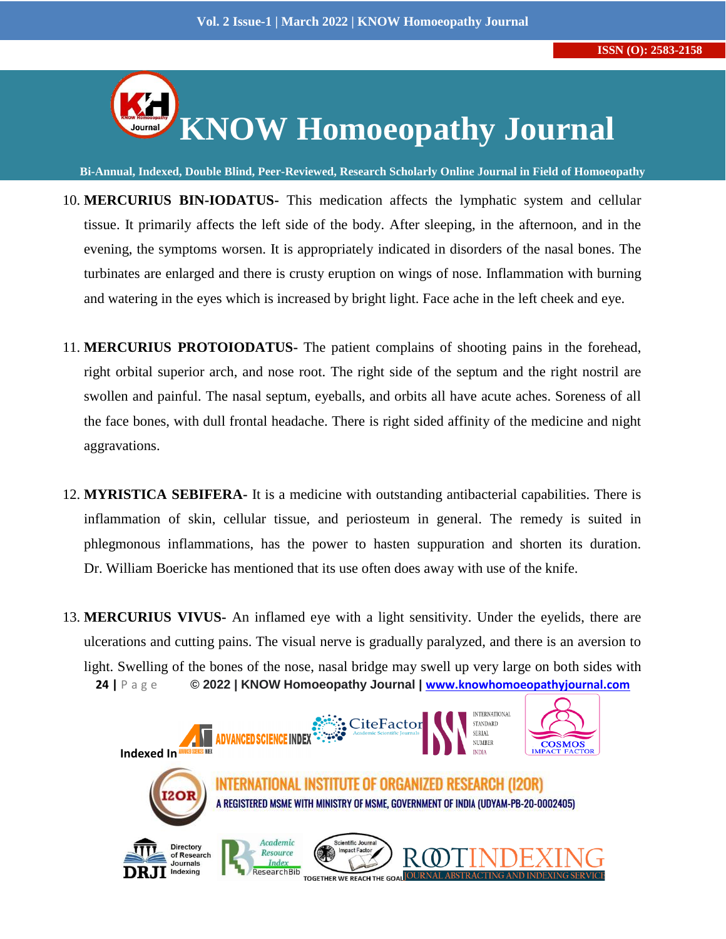

**Bi-Annual, Indexed, Double Blind, Peer-Reviewed, Research Scholarly Online Journal in Field of Homoeopathy**

- 10. **MERCURIUS BIN-IODATUS-** This medication affects the lymphatic system and cellular tissue. It primarily affects the left side of the body. After sleeping, in the afternoon, and in the evening, the symptoms worsen. It is appropriately indicated in disorders of the nasal bones. The turbinates are enlarged and there is crusty eruption on wings of nose. Inflammation with burning and watering in the eyes which is increased by bright light. Face ache in the left cheek and eye.
- 11. **MERCURIUS PROTOIODATUS-** The patient complains of shooting pains in the forehead, right orbital superior arch, and nose root. The right side of the septum and the right nostril are swollen and painful. The nasal septum, eyeballs, and orbits all have acute aches. Soreness of all the face bones, with dull frontal headache. There is right sided affinity of the medicine and night aggravations.
- 12. **MYRISTICA SEBIFERA-** It is a medicine with outstanding antibacterial capabilities. There is inflammation of skin, cellular tissue, and periosteum in general. The remedy is suited in phlegmonous inflammations, has the power to hasten suppuration and shorten its duration. Dr. William Boericke has mentioned that its use often does away with use of the knife.
- **24 |** P a g e **© 2022 | KNOW Homoeopathy Journal | [www.knowhomoeopathyjournal.com](http://www.knowhomoeopathyjournal.com/)** 13. **MERCURIUS VIVUS-** An inflamed eye with a light sensitivity. Under the eyelids, there are ulcerations and cutting pains. The visual nerve is gradually paralyzed, and there is an aversion to light. Swelling of the bones of the nose, nasal bridge may swell up very large on both sides with

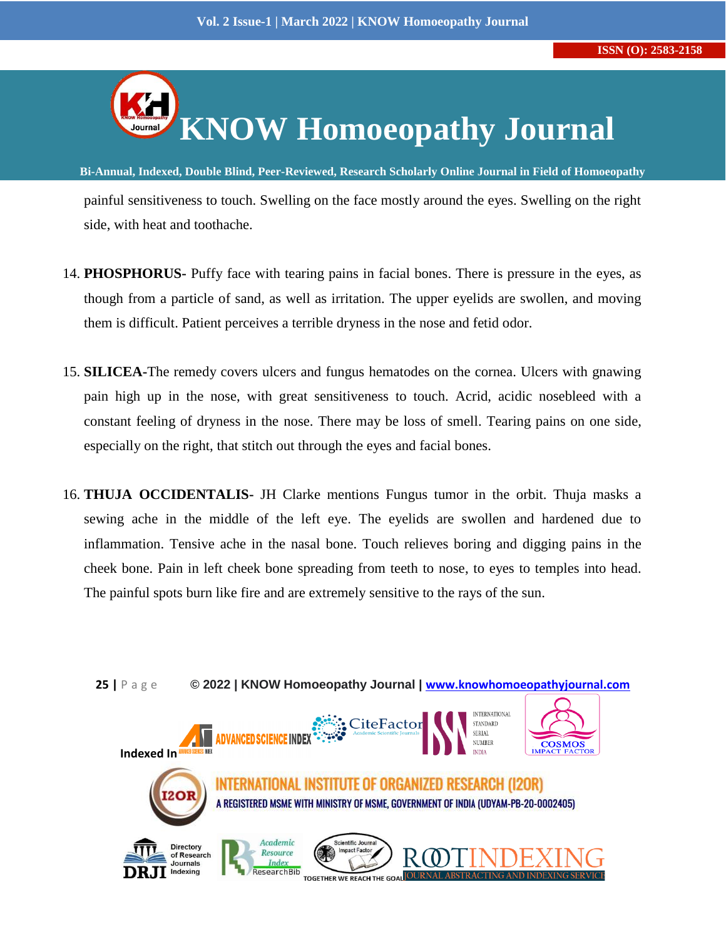

**Bi-Annual, Indexed, Double Blind, Peer-Reviewed, Research Scholarly Online Journal in Field of Homoeopathy** painful sensitiveness to touch. Swelling on the face mostly around the eyes. Swelling on the right side, with heat and toothache.

- 14. **PHOSPHORUS-** Puffy face with tearing pains in facial bones. There is pressure in the eyes, as though from a particle of sand, as well as irritation. The upper eyelids are swollen, and moving them is difficult. Patient perceives a terrible dryness in the nose and fetid odor.
- 15. **SILICEA-**The remedy covers ulcers and fungus hematodes on the cornea. Ulcers with gnawing pain high up in the nose, with great sensitiveness to touch. Acrid, acidic nosebleed with a constant feeling of dryness in the nose. There may be loss of smell. Tearing pains on one side, especially on the right, that stitch out through the eyes and facial bones.
- 16. **THUJA OCCIDENTALIS-** JH Clarke mentions Fungus tumor in the orbit. Thuja masks a sewing ache in the middle of the left eye. The eyelids are swollen and hardened due to inflammation. Tensive ache in the nasal bone. Touch relieves boring and digging pains in the cheek bone. Pain in left cheek bone spreading from teeth to nose, to eyes to temples into head. The painful spots burn like fire and are extremely sensitive to the rays of the sun.

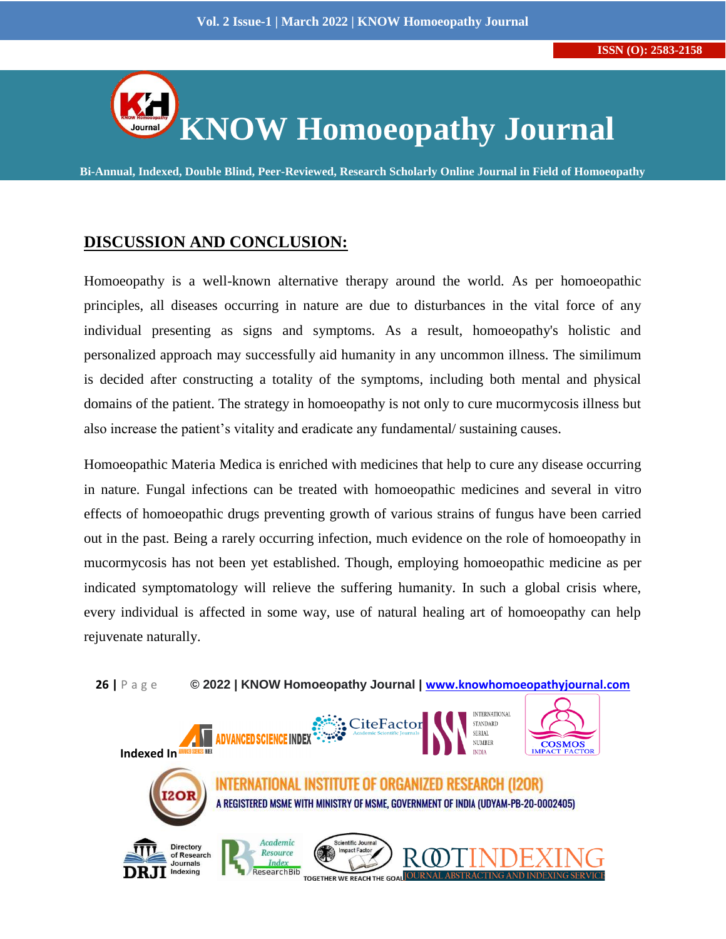

**Bi-Annual, Indexed, Double Blind, Peer-Reviewed, Research Scholarly Online Journal in Field of Homoeopathy**

## **DISCUSSION AND CONCLUSION:**

Homoeopathy is a well-known alternative therapy around the world. As per homoeopathic principles, all diseases occurring in nature are due to disturbances in the vital force of any individual presenting as signs and symptoms. As a result, homoeopathy's holistic and personalized approach may successfully aid humanity in any uncommon illness. The similimum is decided after constructing a totality of the symptoms, including both mental and physical domains of the patient. The strategy in homoeopathy is not only to cure mucormycosis illness but also increase the patient's vitality and eradicate any fundamental/ sustaining causes.

Homoeopathic Materia Medica is enriched with medicines that help to cure any disease occurring in nature. Fungal infections can be treated with homoeopathic medicines and several in vitro effects of homoeopathic drugs preventing growth of various strains of fungus have been carried out in the past. Being a rarely occurring infection, much evidence on the role of homoeopathy in mucormycosis has not been yet established. Though, employing homoeopathic medicine as per indicated symptomatology will relieve the suffering humanity. In such a global crisis where, every individual is affected in some way, use of natural healing art of homoeopathy can help rejuvenate naturally.

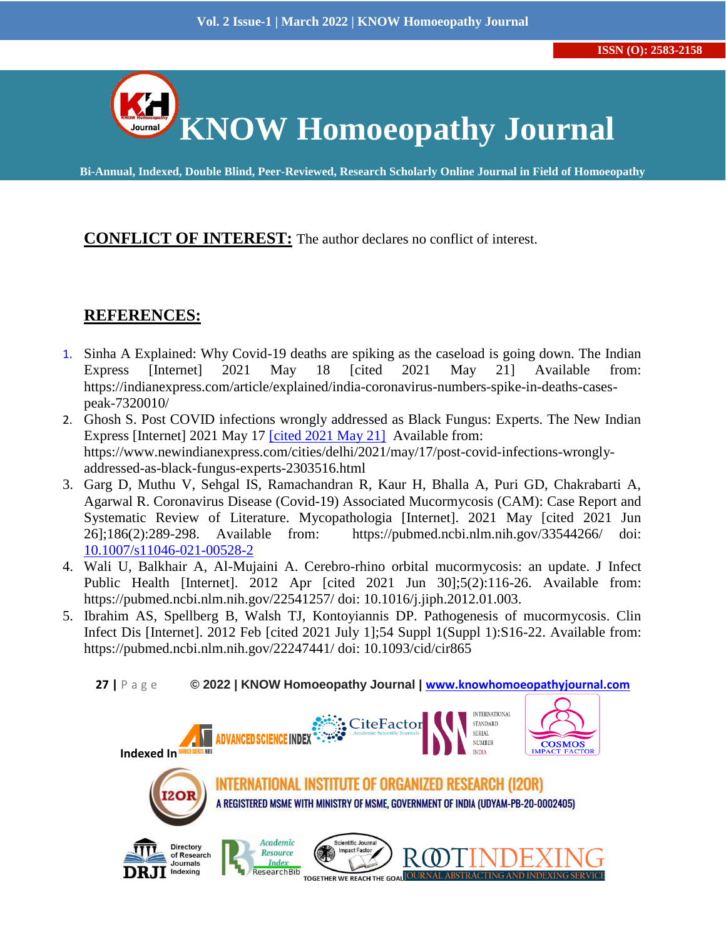

## **CONFLICT OF INTEREST:** The author declares no conflict of interest.

## **REFERENCES:**

- 1. Sinha A Explained: Why Covid-19 deaths are spiking as the caseload is going down. The Indian Express [Internet] 2021 May 18 [cited 2021 May 21] Available from: https://indianexpress.com/article/explained/india-coronavirus-numbers-spike-in-deaths-casespeak-7320010/
- 2. Ghosh S. Post COVID infections wrongly addressed as Black Fungus: Experts. The New Indian Express [Internet] 2021 May 17 [cited 2021 May 21] Available from: https://www.newindianexpress.com/cities/delhi/2021/may/17/post-covid-infections-wronglyaddressed-as-black-fungus-experts-2303516.html
- 3. Garg D, Muthu V, Sehgal IS, Ramachandran R, Kaur H, Bhalla A, Puri GD, Chakrabarti A, Agarwal R. Coronavirus Disease (Covid-19) Associated Mucormycosis (CAM): Case Report and Systematic Review of Literature. Mycopathologia [Internet]. 2021 May [cited 2021 Jun 26];186(2):289-298. Available from: https://pubmed.ncbi.nlm.nih.gov/33544266/ doi: [10.1007/s11046-021-00528-2](https://doi.org/10.1007/s11046-021-00528-2)
- 4. Wali U, Balkhair A, Al-Mujaini A. Cerebro-rhino orbital mucormycosis: an update. J Infect Public Health [Internet]. 2012 Apr [cited 2021 Jun 30];5(2):116-26. Available from: https://pubmed.ncbi.nlm.nih.gov/22541257/ doi: 10.1016/j.jiph.2012.01.003.
- 5. Ibrahim AS, Spellberg B, Walsh TJ, Kontoyiannis DP. Pathogenesis of mucormycosis. Clin Infect Dis [Internet]. 2012 Feb [cited 2021 July 1];54 Suppl 1(Suppl 1):S16-22. Available from: https://pubmed.ncbi.nlm.nih.gov/22247441/ doi: 10.1093/cid/cir865
	- **27 |** P a g e **© 2022 | KNOW Homoeopathy Journal | [www.knowhomoeopathyjournal.com](http://www.knowhomoeopathyjournal.com/)**

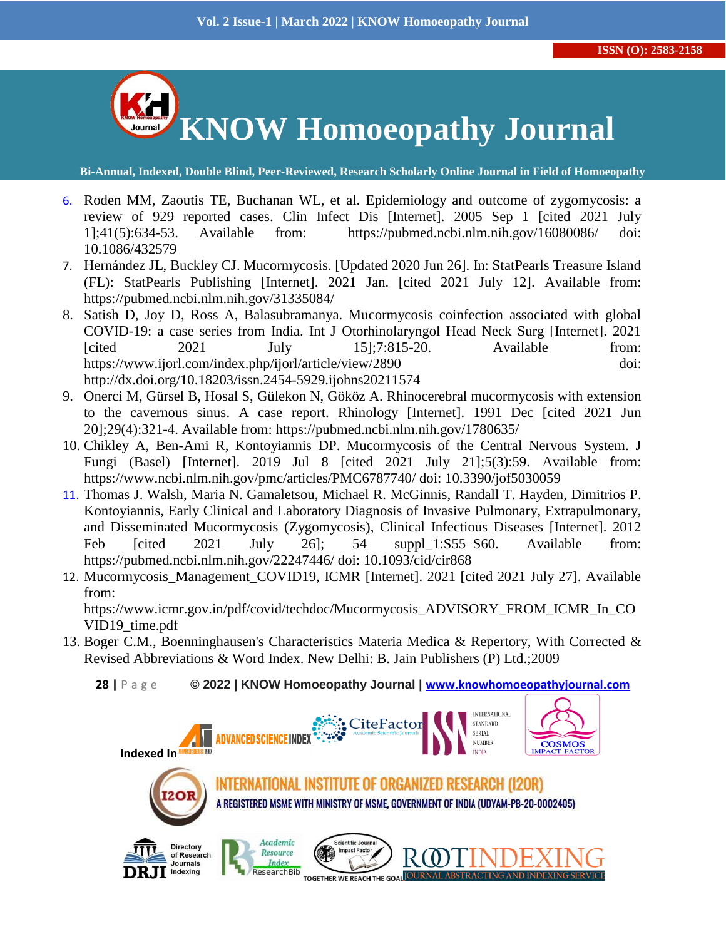

- 6. Roden MM, Zaoutis TE, Buchanan WL, et al. Epidemiology and outcome of zygomycosis: a review of 929 reported cases. Clin Infect Dis [Internet]. 2005 Sep 1 [cited 2021 July 1];41(5):634-53. Available from: https://pubmed.ncbi.nlm.nih.gov/16080086/ doi: 10.1086/432579
- 7. Hernández JL, Buckley CJ. Mucormycosis. [Updated 2020 Jun 26]. In: StatPearls Treasure Island (FL): StatPearls Publishing [Internet]. 2021 Jan. [cited 2021 July 12]. Available from: https://pubmed.ncbi.nlm.nih.gov/31335084/
- 8. Satish D, Joy D, Ross A, Balasubramanya. Mucormycosis coinfection associated with global COVID-19: a case series from India. Int J Otorhinolaryngol Head Neck Surg [Internet]. 2021  $[\text{cited}$  2021 July 15];7:815-20. Available from: https://www.ijorl.com/index.php/ijorl/article/view/2890 doi: http://dx.doi.org/10.18203/issn.2454-5929.ijohns20211574
- 9. Onerci M, Gürsel B, Hosal S, Gülekon N, Gököz A. Rhinocerebral mucormycosis with extension to the cavernous sinus. A case report. Rhinology [Internet]. 1991 Dec [cited 2021 Jun 20];29(4):321-4. Available from: https://pubmed.ncbi.nlm.nih.gov/1780635/
- 10. Chikley A, Ben-Ami R, Kontoyiannis DP. Mucormycosis of the Central Nervous System. J Fungi (Basel) [Internet]. 2019 Jul 8 [cited 2021 July 21];5(3):59. Available from: https://www.ncbi.nlm.nih.gov/pmc/articles/PMC6787740/ doi: 10.3390/jof5030059
- 11. Thomas J. Walsh, Maria N. Gamaletsou, Michael R. McGinnis, Randall T. Hayden, Dimitrios P. Kontoyiannis, Early Clinical and Laboratory Diagnosis of Invasive Pulmonary, Extrapulmonary, and Disseminated Mucormycosis (Zygomycosis), Clinical Infectious Diseases [Internet]. 2012 Feb  $\lceil \text{cited} \rceil$  2021 July 26: 54 suppl  $1: S55-S60$ . Available from: https://pubmed.ncbi.nlm.nih.gov/22247446/ doi: 10.1093/cid/cir868
- 12. Mucormycosis\_Management\_COVID19, ICMR [Internet]. 2021 [cited 2021 July 27]. Available from:

https://www.icmr.gov.in/pdf/covid/techdoc/Mucormycosis\_ADVISORY\_FROM\_ICMR\_In\_CO VID19\_time.pdf

13. Boger C.M., Boenninghausen's Characteristics Materia Medica & Repertory, With Corrected & Revised Abbreviations & Word Index. New Delhi: B. Jain Publishers (P) Ltd.;2009